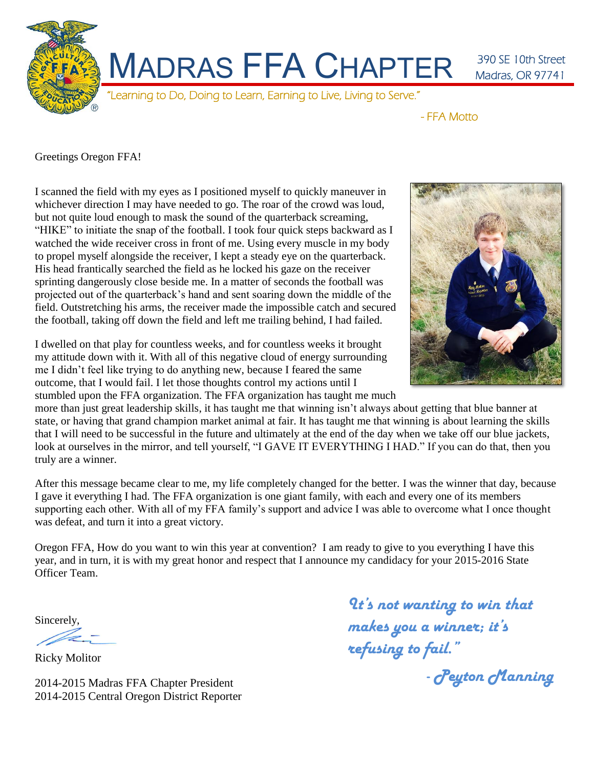

- FFA Motto

Greetings Oregon FFA!

I scanned the field with my eyes as I positioned myself to quickly maneuver in whichever direction I may have needed to go. The roar of the crowd was loud, but not quite loud enough to mask the sound of the quarterback screaming, "HIKE" to initiate the snap of the football. I took four quick steps backward as I watched the wide receiver cross in front of me. Using every muscle in my body to propel myself alongside the receiver, I kept a steady eye on the quarterback. His head frantically searched the field as he locked his gaze on the receiver sprinting dangerously close beside me. In a matter of seconds the football was projected out of the quarterback's hand and sent soaring down the middle of the field. Outstretching his arms, the receiver made the impossible catch and secured the football, taking off down the field and left me trailing behind, I had failed.

I dwelled on that play for countless weeks, and for countless weeks it brought my attitude down with it. With all of this negative cloud of energy surrounding me I didn't feel like trying to do anything new, because I feared the same outcome, that I would fail. I let those thoughts control my actions until I stumbled upon the FFA organization. The FFA organization has taught me much



more than just great leadership skills, it has taught me that winning isn't always about getting that blue banner at state, or having that grand champion market animal at fair. It has taught me that winning is about learning the skills that I will need to be successful in the future and ultimately at the end of the day when we take off our blue jackets, look at ourselves in the mirror, and tell yourself, "I GAVE IT EVERYTHING I HAD." If you can do that, then you truly are a winner.

After this message became clear to me, my life completely changed for the better. I was the winner that day, because I gave it everything I had. The FFA organization is one giant family, with each and every one of its members supporting each other. With all of my FFA family's support and advice I was able to overcome what I once thought was defeat, and turn it into a great victory.

Oregon FFA, How do you want to win this year at convention? I am ready to give to you everything I have this year, and in turn, it is with my great honor and respect that I announce my candidacy for your 2015-2016 State Officer Team.

Sincerely,

Ricky Molitor

2014-2015 Madras FFA Chapter President 2014-2015 Central Oregon District Reporter

*It's not wanting to win that makes you a winner; it's refusing to fail."* 

*- Peyton Manning*